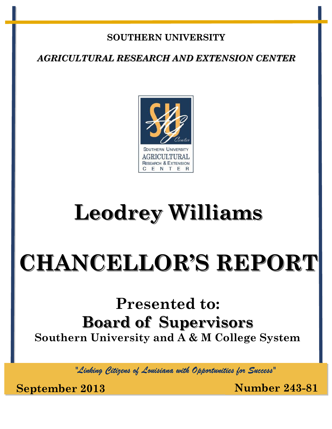#### **SOUTHERN UNIVERSITY**

*AGRICULTURAL RESEARCH AND EXTENSION CENTER*



## **Leodrey Williams**

# **CHANCELLOR'S REPORT**

## **Presented to: Board of Supervisors Southern University and A & M College System**

*"Linking Citizens of Louisiana with Opportunities for Success"*

**September 2013 Number 243-81**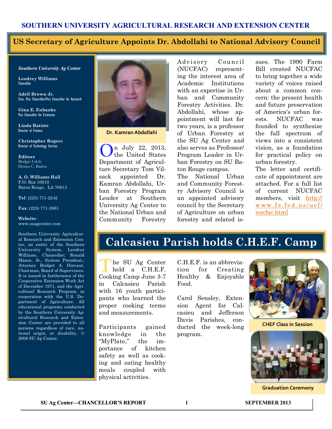#### **SOUTHERN UNIVERSITY AGRICULTURAL RESEARCH AND EXTENSION CENTER**

#### **US Secretary of Agriculture Appoints Dr. Abdollahi to National Advisory Council**

#### *Southern University Ag Center*

**Leodrey Williams**  Chancellor

**Adell Brown Jr.**  Exec. Vice Chancellor/Vice Chancellor for Research

**Gina E. Eubanks** Vice Chancellor for Extension

**Linda Batiste** Director of Finance

**Christopher Rogers** Director of Technology Services

**Editors** Bridget Udoh Donna C. Badon

**A. O. Williams Hall** P.O. Box 10010 Baton Rouge, LA 70813

**Tel**: (225) 771-2242

**Fax**: (225) 771-2861

#### **Website**: www.suagcenter.com

Southern University Agricultural Research and Extension Center, an entity of the Southern University System, Leodrey Williams, Chancellor; Ronald Mason, Jr., System President,; Attorney Bridget A. Dinvaut, Chairman, Board of Supervisors. It is issued in furtherance of the Cooperative Extension Work Act of December 1971, and the Agricultural Research Program, in cooperation with the U.S. Department of Agriculture. All educational programs conducted by the Southern University Agricultural Research and Extension Center are provided to all persons regardless of race, national origin, or disability. © 2008 SU Ag Center.



**Dr. Kamran Abdollahi**

n July 22, 2013, the United States Department of Agriculture Secretary Tom Vilsack appointed Dr. Kamran Abdollahi, Urban Forestry Program Leader at Southern University Ag Center to the National Urban and Community Forestry

Advisory Council (NUCFAC) representing the interest area of Academic Institutions with an expertise in Urban and Community Forestry Activities. Dr. Abdollahi, whose appointment will last for two years, is a professor of Urban Forestry at the SU Ag Center and also serves as Professor/ Program Leader in Urban Forestry on SU Baton Rouge campus. The National Urban and Community Forest-

ry Advisory Council is an appointed advisory council by the Secretary of Agriculture on urban forestry and related issues. The 1990 Farm Bill created NUCFAC to bring together a wide variety of voices raised about a common concern: the present health and future preservation of America's urban forests. NUCFAC was founded to synthesize the full spectrum of views into a consistent vision, as a foundation for practical policy on urban forestry.

The letter and certificate of appointment are attached. For a full list of current NUCFAC members, visit [http://](http://www.fs.fed.us/ucf/nucfac.html) [w w w . f s . f e d . u s / u c f /](http://www.fs.fed.us/ucf/nucfac.html) [nucfac.html](http://www.fs.fed.us/ucf/nucfac.html)

#### **Calcasieu Parish holds C.H.E.F. Camp**

The SU Ag Center<br>held a C.H.E.F. he SU Ag Center Cooking Camp June 3-7 in Calcasieu Parish with 16 youth participants who learned the proper cooking terms and measurements.

Participants gained knowledge in the "MyPlate," the importance of kitchen safety as well as cooking and eating healthy meals coupled with physical activities.

C.H.E.F. is an abbreviation for Creating Healthy & Enjoyable Food.

Carol Sensley, Extension Agent for Calcasieu and Jefferson Davis Parishes, conducted the week-long program.



**CHEF Class in Session**



**Graduation Ceremony**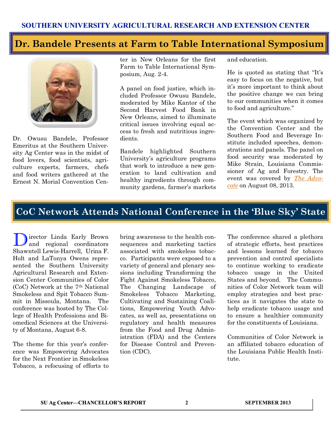#### **Dr. Bandele Presents at Farm to Table International Symposium**



Dr. Owusu Bandele, Professor Emeritus at the Southern University Ag Center was in the midst of food lovers, food scientists, agriculture experts, farmers, chefs and food writers gathered at the Ernest N. Morial Convention Center in New Orleans for the first Farm to Table International Symposium, Aug. 2-4.

A panel on food justice, which included Professor Owusu Bandele, moderated by Mike Kantor of the Second Harvest Food Bank in New Orleans, aimed to illuminate critical issues involving equal access to fresh and nutritious ingredients.

Bandele highlighted Southern University's agriculture programs that work to introduce a new generation to land cultivation and healthy ingredients through community gardens, farmer's markets and education.

He is quoted as stating that "It's easy to focus on the negative, but it's more important to think about the positive change we can bring to our communities when it comes to food and agriculture."

The event which was organized by the Convention Center and the Southern Food and Beverage Institute included speeches, demonstrations and panels. The panel on food security was moderated by Mike Strain, Louisiana Commissioner of Ag and Forestry. The event was covered by *[The Advo](http://theadvocate.com/features/people/6720182-123/symposium-focuses-on-food-from)[cate](http://theadvocate.com/features/people/6720182-123/symposium-focuses-on-food-from)* on August 08, 2013.

#### **CoC Network Attends National Conference in the 'Blue Sky' State**

Director Linda Early Brown and regional coordinators Shawntell Lewis-Harrell, Urina F. Holt and LaTonya Owens represented the Southern University Agricultural Research and Extension Center Communities of Color (CoC) Network at the 7th National Smokeless and Spit Tobacco Summit in Missoula, Montana. The conference was hosted by The College of Health Professions and Biomedical Sciences at the University of Montana, August 6-8.

The theme for this year's conference was Empowering Advocates for the Next Frontier in Smokeless Tobacco, a refocusing of efforts to bring awareness to the health consequences and marketing tactics associated with smokeless tobacco. Participants were exposed to a variety of general and plenary sessions including Transforming the Fight Against Smokeless Tobacco, The Changing Landscape of Smokeless Tobacco Marketing, Cultivating and Sustaining Coalitions, Empowering Youth Advocates, as well as, presentations on regulatory and health measures from the Food and Drug Administration (FDA) and the Centers for Disease Control and Prevention (CDC).

The conference shared a plethora of strategic efforts, best practices and lessons learned for tobacco prevention and control specialists to continue working to eradicate tobacco usage in the United States and beyond. The Communities of Color Network team will employ strategies and best practices as it navigates the state to help eradicate tobacco usage and to ensure a healthier community for the constituents of Louisiana.

Communities of Color Network is an affiliated tobacco education of the Louisiana Public Health Institute.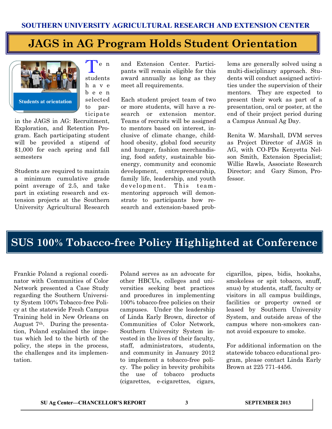### **JAGS in AG Program Holds Student Orientation**



T e n students h a v e b e e n selected to participate

in the JAGS in AG: Recruitment, Exploration, and Retention Program. Each participating student will be provided a stipend of \$1,000 for each spring and fall semesters

Students are required to maintain a minimum cumulative grade point average of 2.5, and take part in existing research and extension projects at the Southern University Agricultural Research

and Extension Center. Participants will remain eligible for this award annually as long as they meet all requirements.

Each student project team of two or more students, will have a research or extension mentor. Teams of recruits will be assigned to mentors based on interest, inclusive of climate change, childhood obesity, global food security and hunger, fashion merchandising, food safety, sustainable bioenergy, community and economic development, entrepreneurship, family life, leadership, and youth development. This team mentoring approach will demonstrate to participants how research and extension-based prob-

lems are generally solved using a multi-disciplinary approach. Students will conduct assigned activities under the supervision of their mentors. They are expected to present their work as part of a presentation, oral or poster, at the end of their project period during a Campus Annual Ag Day.

Renita W. Marshall, DVM serves as Project Director of JAGS in AG, with CO-PDs Kenyetta Nelson Smith, Extension Specialist; Willie Rawls, Associate Research Director; and Gary Simon, Professor.

## **SUS 100% Tobacco-free Policy Highlighted at Conference**

Frankie Poland a regional coordinator with Communities of Color Network presented a Case Study regarding the Southern University System 100% Tobacco-free Policy at the statewide Fresh Campus Training held in New Orleans on August 7th. During the presentation, Poland explained the impetus which led to the birth of the policy, the steps in the process, the challenges and its implementation.

Poland serves as an advocate for other HBCUs, colleges and universities seeking best practices and procedures in implementing 100% tobacco-free policies on their campuses. Under the leadership of Linda Early Brown, director of Communities of Color Network, Southern University System invested in the lives of their faculty, staff, administrators, students, and community in January 2012 to implement a tobacco-free policy. The policy in brevity prohibits the use of tobacco products (cigarettes, e-cigarettes, cigars,

cigarillos, pipes, bidis, hookahs, smokeless or spit tobacco, snuff, snus) by students, staff, faculty or visitors in all campus buildings, facilities or property owned or leased by Southern University System, and outside areas of the campus where non-smokers cannot avoid exposure to smoke.

For additional information on the statewide tobacco educational program, please contact Linda Early Brown at 225 771-4456.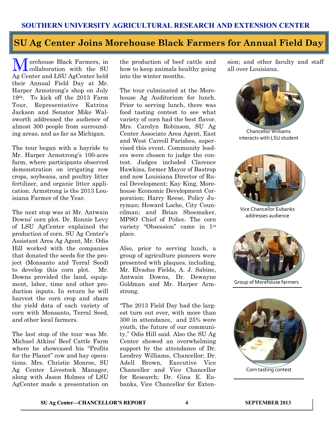## **SU Ag Center Joins Morehouse Black Farmers for Annual Field Day**

Morehouse Black Farmers, in collaboration with the SU Ag Center and LSU AgCenter held their Annual Field Day at Mr. Harper Armstrong's shop on July 19th. To kick off the 2013 Farm Tour, Representative Katrina Jackson and Senator Mike Walsworth addressed the audience of almost 300 people from surrounding areas, and as far as Michigan.

The tour began with a hayride to Mr. Harper Armstrong's 100-acre farm, where participants observed demonstration on irrigating row crops, soybeans, and poultry litter fertilizer, and organic litter application. Armstrong is the 2013 Louisiana Farmer of the Year.

The next stop was at Mr. Antwain Downs' corn plot. Dr. Ronnie Levy of LSU AgCenter explained the production of corn. SU Ag Center's Assistant Area Ag Agent, Mr. Odis Hill worked with the companies that donated the seeds for the project (Monsanto and Terral Seed) to develop this corn plot. Mr. Downs provided the land, equipment, labor, time and other production inputs. In return he will harvest the corn crop and share the yield data of each variety of corn with Monsanto, Terral Seed, and other local farmers.

The last stop of the tour was Mr. Michael Atkins' Beef Cattle Farm where he showcased his "Profits for the Planet" cow and hay operations. Mrs. Christie Monroe, SU Ag Center Livestock Manager, along with Jason Holmes of LSU AgCenter made a presentation on the production of beef cattle and how to keep animals healthy going into the winter months.

The tour culminated at the Morehouse Ag Auditorium for lunch. Prior to serving lunch, there was food tasting contest to see what variety of corn had the best flavor. Mrs. Carolyn Robinson, SU Ag Center Associate Area Agent, East and West Carroll Parishes, supervised this event. Community leaders were chosen to judge the contest. Judges included Clarence Hawkins, former Mayor of Bastrop and now Louisiana Director of Rural Development; Kay King, Morehouse Economic Development Corporation; Harry Reese, Policy Juryman; Howard Loche, City Councilman; and Brian Shoemaker, MPSO Chief of Police. The corn variety "Obsession" came in 1st place.

Also, prior to serving lunch, a group of agriculture pioneers were presented with plaques, including, Mr. Elvadus Fields, A. J. Sabine, Antwain Downs, Dr. Dewayne Goldman and Mr. Harper Armstrong.

"The 2013 Field Day had the largest turn out ever, with more than 300 in attendance, and 25% were youth, the future of our community," Odis Hill said. Also the SU Ag Center showed an overwhelming support by the attendance of Dr. Leodrey Williams, Chancellor; Dr. Adell Brown, Executive Vice Chancellor and Vice Chancellor for Research; Dr. Gina E. Eubanks, Vice Chancellor for Extension; and other faculty and staff all over Louisiana.



Chancellor Williams interacts with LSU student



Vice Chancellor Eubanks addresses audience



Group of Morehouse farmers



Corn tasting contest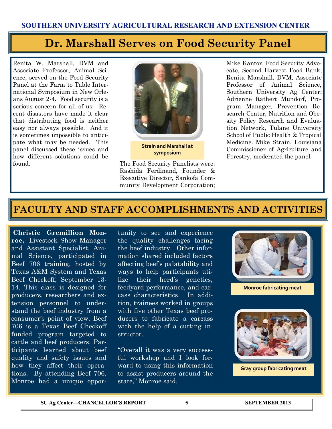### **Dr. Marshall Serves on Food Security Panel**

Renita W. Marshall, DVM and Associate Professor, Animal Science, served on the Food Security Panel at the Farm to Table International Symposium in New Orleans August 2-4**.** Food security is a serious concern for all of us. Recent disasters have made it clear that distributing food is neither easy nor always possible. And it is sometimes impossible to anticipate what may be needed. This panel discussed these issues and how different solutions could be found. The Food Security Panelists were:



**Strain and Marshall at symposium**

Rashida Ferdinand, Founder & Executive Director, Sankofa Community Development Corporation; Mike Kantor, Food Security Advocate, Second Harvest Food Bank; Renita Marshall, DVM, Associate Professor of Animal Science, Southern University Ag Center; Adrienne Rathert Mundorf, Program Manager, Prevention Research Center, Nutrition and Obesity Policy Research and Evaluation Network, Tulane University School of Public Health & Tropical Medicine. Mike Strain, Louisiana Commissioner of Agriculture and Forestry, moderated the panel.

#### **FACULTY AND STAFF ACCOMPLISHMENTS AND ACTIVITIES**

**Christie Gremillion Monroe,** Livestock Show Manager and Assistant Specialist, Animal Science, participated in Beef 706 training, hosted by Texas A&M System and Texas Beef Checkoff, September 13- 14. This class is designed for producers, researchers and extension personnel to understand the beef industry from a consumer's point of view. Beef 706 is a Texas Beef Checkoff funded program targeted to cattle and beef producers. Participants learned about beef quality and safety issues and how they affect their operations. By attending Beef 706, Monroe had a unique oppor-

tunity to see and experience the quality challenges facing the beef industry. Other information shared included factors affecting beef's palatability and ways to help participants utilize their herd's genetics, feedyard performance, and carcass characteristics. In addition, trainees worked in groups with five other Texas beef producers to fabricate a carcass with the help of a cutting instructor.

"Overall it was a very successful workshop and I look forward to using this information to assist producers around the state," Monroe said.



**Monroe fabricating meat**



**Gray group fabricating meat**